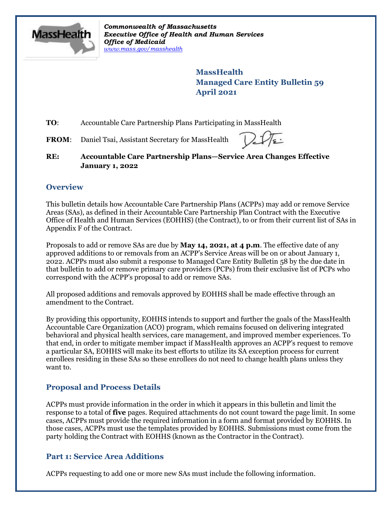

*Commonwealth of Massachusetts Executive Office of Health and Human Services Office of Medicaid [www.mass.gov/masshealth](http://www.mass.gov/masshealth)*

> **MassHealth Managed Care Entity Bulletin 59 April 2021**

**TO**: Accountable Care Partnership Plans Participating in MassHealth

**FROM**: Daniel Tsai, Assistant Secretary for MassHealth



**RE: Accountable Care Partnership Plans—Service Area Changes Effective January 1, 2022**

# **Overview**

This bulletin details how Accountable Care Partnership Plans (ACPPs) may add or remove Service Areas (SAs), as defined in their Accountable Care Partnership Plan Contract with the Executive Office of Health and Human Services (EOHHS) (the Contract), to or from their current list of SAs in Appendix F of the Contract.

Proposals to add or remove SAs are due by **May 14, 2021, at 4 p.m**. The effective date of any approved additions to or removals from an ACPP's Service Areas will be on or about January 1, 2022. ACPPs must also submit a response to Managed Care Entity Bulletin 58 by the due date in that bulletin to add or remove primary care providers (PCPs) from their exclusive list of PCPs who correspond with the ACPP's proposal to add or remove SAs.

All proposed additions and removals approved by EOHHS shall be made effective through an amendment to the Contract.

By providing this opportunity, EOHHS intends to support and further the goals of the MassHealth Accountable Care Organization (ACO) program, which remains focused on delivering integrated behavioral and physical health services, care management, and improved member experiences. To that end, in order to mitigate member impact if MassHealth approves an ACPP's request to remove a particular SA, EOHHS will make its best efforts to utilize its SA exception process for current enrollees residing in these SAs so these enrollees do not need to change health plans unless they want to.

# **Proposal and Process Details**

ACPPs must provide information in the order in which it appears in this bulletin and limit the response to a total of **five** pages. Required attachments do not count toward the page limit. In some cases, ACPPs must provide the required information in a form and format provided by EOHHS. In those cases, ACPPs must use the templates provided by EOHHS. Submissions must come from the party holding the Contract with EOHHS (known as the Contractor in the Contract).

# **Part 1: Service Area Additions**

ACPPs requesting to add one or more new SAs must include the following information.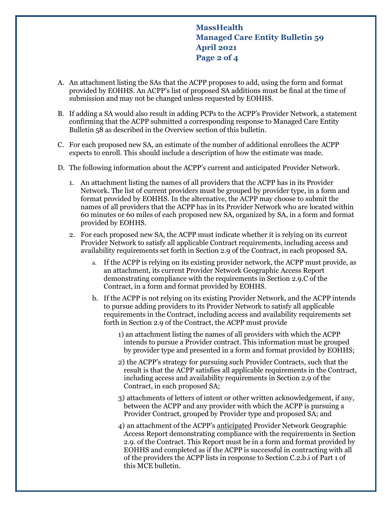**MassHealth Managed Care Entity Bulletin 59 April 2021 Page 2 of 4**

- A. An attachment listing the SAs that the ACPP proposes to add, using the form and format provided by EOHHS. An ACPP's list of proposed SA additions must be final at the time of submission and may not be changed unless requested by EOHHS.
- B. If adding a SA would also result in adding PCPs to the ACPP's Provider Network, a statement confirming that the ACPP submitted a corresponding response to Managed Care Entity Bulletin 58 as described in the Overview section of this bulletin.
- C. For each proposed new SA, an estimate of the number of additional enrollees the ACPP expects to enroll. This should include a description of how the estimate was made.
- D. The following information about the ACPP's current and anticipated Provider Network.
	- 1. An attachment listing the names of all providers that the ACPP has in its Provider Network. The list of current providers must be grouped by provider type, in a form and format provided by EOHHS. In the alternative, the ACPP may choose to submit the names of all providers that the ACPP has in its Provider Network who are located within 60 minutes or 60 miles of each proposed new SA, organized by SA, in a form and format provided by EOHHS.
	- 2. For each proposed new SA, the ACPP must indicate whether it is relying on its current Provider Network to satisfy all applicable Contract requirements, including access and availability requirements set forth in Section 2.9 of the Contract, in each proposed SA.
		- a. If the ACPP is relying on its existing provider network, the ACPP must provide, as an attachment, its current Provider Network Geographic Access Report demonstrating compliance with the requirements in Section 2.9.C of the Contract, in a form and format provided by EOHHS.
		- b. If the ACPP is not relying on its existing Provider Network, and the ACPP intends to pursue adding providers to its Provider Network to satisfy all applicable requirements in the Contract, including access and availability requirements set forth in Section 2.9 of the Contract, the ACPP must provide
			- 1) an attachment listing the names of all providers with which the ACPP intends to pursue a Provider contract. This information must be grouped by provider type and presented in a form and format provided by EOHHS;
			- 2) the ACPP's strategy for pursuing such Provider Contracts, such that the result is that the ACPP satisfies all applicable requirements in the Contract, including access and availability requirements in Section 2.9 of the Contract, in each proposed SA;
			- 3) attachments of letters of intent or other written acknowledgement, if any, between the ACPP and any provider with which the ACPP is pursuing a Provider Contract, grouped by Provider type and proposed SA; and
			- 4) an attachment of the ACPP's anticipated Provider Network Geographic Access Report demonstrating compliance with the requirements in Section 2.9. of the Contract. This Report must be in a form and format provided by EOHHS and completed as if the ACPP is successful in contracting with all of the providers the ACPP lists in response to Section C.2.b.i of Part 1 of this MCE bulletin.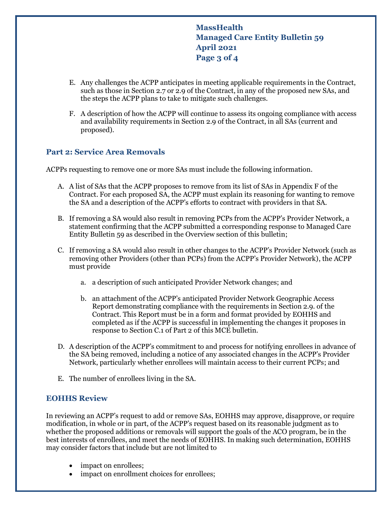**MassHealth Managed Care Entity Bulletin 59 April 2021 Page 3 of 4**

- E. Any challenges the ACPP anticipates in meeting applicable requirements in the Contract, such as those in Section 2.7 or 2.9 of the Contract, in any of the proposed new SAs, and the steps the ACPP plans to take to mitigate such challenges.
- F. A description of how the ACPP will continue to assess its ongoing compliance with access and availability requirements in Section 2.9 of the Contract, in all SAs (current and proposed).

### **Part 2: Service Area Removals**

ACPPs requesting to remove one or more SAs must include the following information.

- A. A list of SAs that the ACPP proposes to remove from its list of SAs in Appendix F of the Contract. For each proposed SA, the ACPP must explain its reasoning for wanting to remove the SA and a description of the ACPP's efforts to contract with providers in that SA.
- B. If removing a SA would also result in removing PCPs from the ACPP's Provider Network, a statement confirming that the ACPP submitted a corresponding response to Managed Care Entity Bulletin 59 as described in the Overview section of this bulletin;
- C. If removing a SA would also result in other changes to the ACPP's Provider Network (such as removing other Providers (other than PCPs) from the ACPP's Provider Network), the ACPP must provide
	- a. a description of such anticipated Provider Network changes; and
	- b. an attachment of the ACPP's anticipated Provider Network Geographic Access Report demonstrating compliance with the requirements in Section 2.9. of the Contract. This Report must be in a form and format provided by EOHHS and completed as if the ACPP is successful in implementing the changes it proposes in response to Section C.1 of Part 2 of this MCE bulletin.
- D. A description of the ACPP's commitment to and process for notifying enrollees in advance of the SA being removed, including a notice of any associated changes in the ACPP's Provider Network, particularly whether enrollees will maintain access to their current PCPs; and
- E. The number of enrollees living in the SA.

#### **EOHHS Review**

In reviewing an ACPP's request to add or remove SAs, EOHHS may approve, disapprove, or require modification, in whole or in part, of the ACPP's request based on its reasonable judgment as to whether the proposed additions or removals will support the goals of the ACO program, be in the best interests of enrollees, and meet the needs of EOHHS. In making such determination, EOHHS may consider factors that include but are not limited to

- impact on enrollees;
- impact on enrollment choices for enrollees;